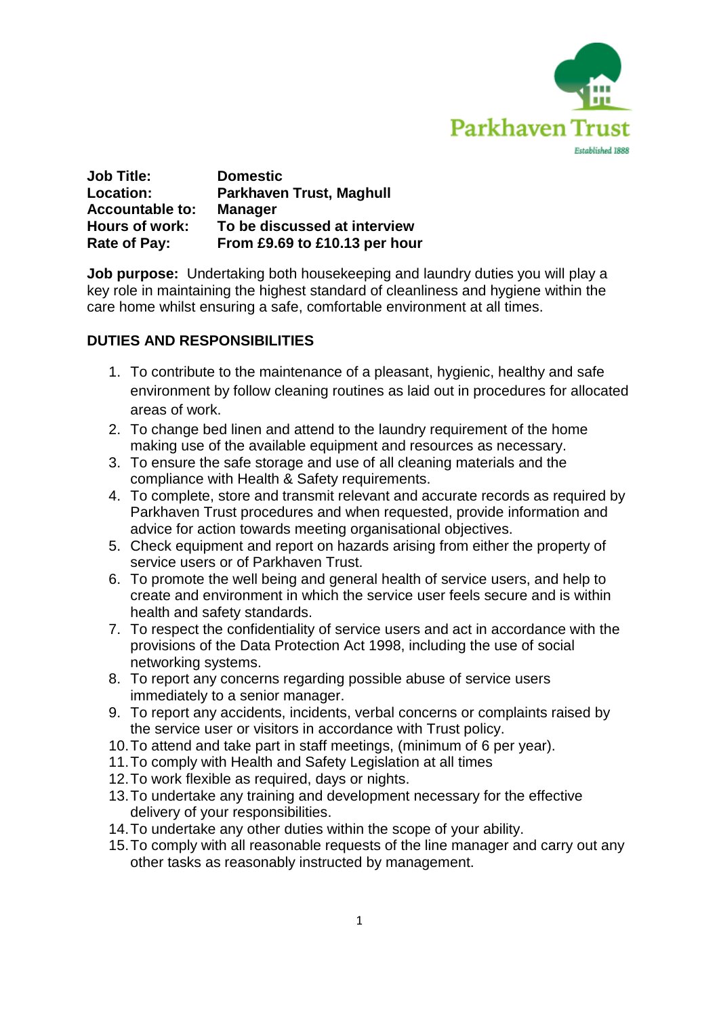

| <b>Job Title:</b>      | <b>Domestic</b>                 |
|------------------------|---------------------------------|
| Location:              | <b>Parkhaven Trust, Maghull</b> |
| <b>Accountable to:</b> | <b>Manager</b>                  |
| Hours of work:         | To be discussed at interview    |
| Rate of Pay:           | From £9.69 to £10.13 per hour   |

**Job purpose:** Undertaking both housekeeping and laundry duties you will play a key role in maintaining the highest standard of cleanliness and hygiene within the care home whilst ensuring a safe, comfortable environment at all times.

# **DUTIES AND RESPONSIBILITIES**

- 1. To contribute to the maintenance of a pleasant, hygienic, healthy and safe environment by follow cleaning routines as laid out in procedures for allocated areas of work.
- 2. To change bed linen and attend to the laundry requirement of the home making use of the available equipment and resources as necessary.
- 3. To ensure the safe storage and use of all cleaning materials and the compliance with Health & Safety requirements.
- 4. To complete, store and transmit relevant and accurate records as required by Parkhaven Trust procedures and when requested, provide information and advice for action towards meeting organisational objectives.
- 5. Check equipment and report on hazards arising from either the property of service users or of Parkhaven Trust.
- 6. To promote the well being and general health of service users, and help to create and environment in which the service user feels secure and is within health and safety standards.
- 7. To respect the confidentiality of service users and act in accordance with the provisions of the Data Protection Act 1998, including the use of social networking systems.
- 8. To report any concerns regarding possible abuse of service users immediately to a senior manager.
- 9. To report any accidents, incidents, verbal concerns or complaints raised by the service user or visitors in accordance with Trust policy.
- 10.To attend and take part in staff meetings, (minimum of 6 per year).
- 11.To comply with Health and Safety Legislation at all times
- 12.To work flexible as required, days or nights.
- 13.To undertake any training and development necessary for the effective delivery of your responsibilities.
- 14.To undertake any other duties within the scope of your ability.
- 15.To comply with all reasonable requests of the line manager and carry out any other tasks as reasonably instructed by management.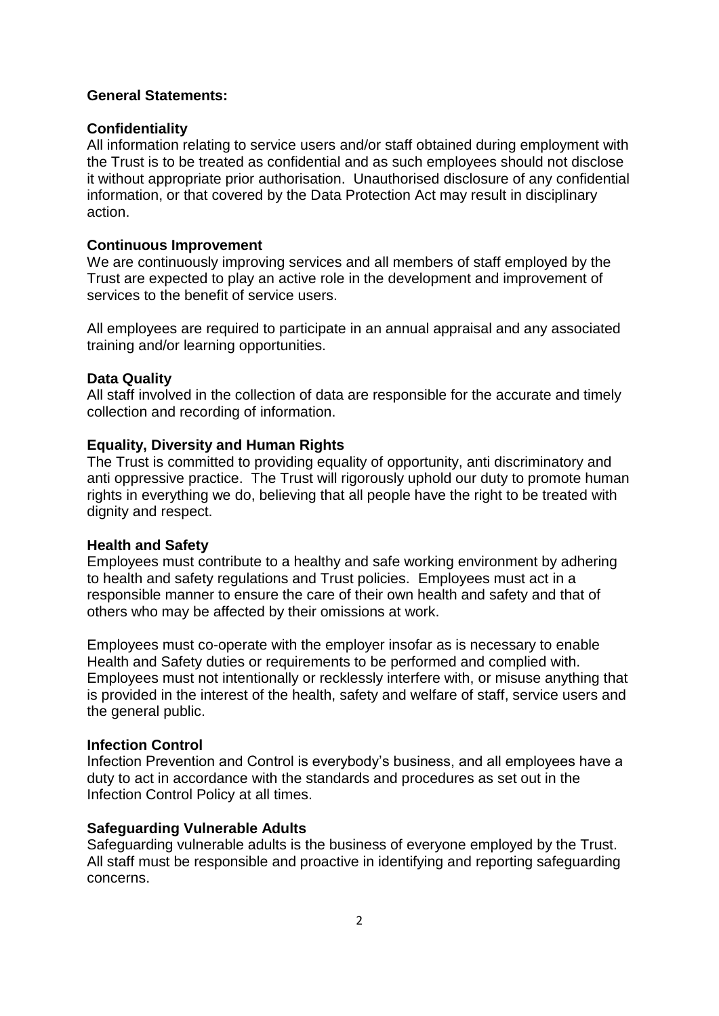#### **General Statements:**

#### **Confidentiality**

All information relating to service users and/or staff obtained during employment with the Trust is to be treated as confidential and as such employees should not disclose it without appropriate prior authorisation. Unauthorised disclosure of any confidential information, or that covered by the Data Protection Act may result in disciplinary action.

#### **Continuous Improvement**

We are continuously improving services and all members of staff employed by the Trust are expected to play an active role in the development and improvement of services to the benefit of service users.

All employees are required to participate in an annual appraisal and any associated training and/or learning opportunities.

## **Data Quality**

All staff involved in the collection of data are responsible for the accurate and timely collection and recording of information.

## **Equality, Diversity and Human Rights**

The Trust is committed to providing equality of opportunity, anti discriminatory and anti oppressive practice. The Trust will rigorously uphold our duty to promote human rights in everything we do, believing that all people have the right to be treated with dignity and respect.

#### **Health and Safety**

Employees must contribute to a healthy and safe working environment by adhering to health and safety regulations and Trust policies. Employees must act in a responsible manner to ensure the care of their own health and safety and that of others who may be affected by their omissions at work.

Employees must co-operate with the employer insofar as is necessary to enable Health and Safety duties or requirements to be performed and complied with. Employees must not intentionally or recklessly interfere with, or misuse anything that is provided in the interest of the health, safety and welfare of staff, service users and the general public.

#### **Infection Control**

Infection Prevention and Control is everybody's business, and all employees have a duty to act in accordance with the standards and procedures as set out in the Infection Control Policy at all times.

## **Safeguarding Vulnerable Adults**

Safeguarding vulnerable adults is the business of everyone employed by the Trust. All staff must be responsible and proactive in identifying and reporting safeguarding concerns.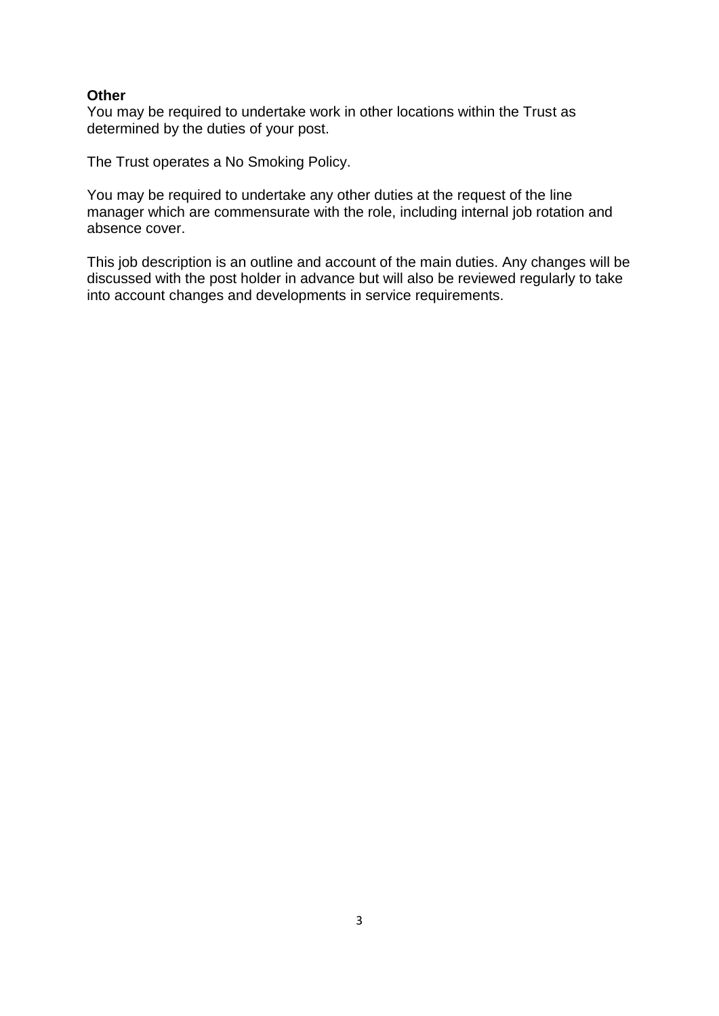## **Other**

You may be required to undertake work in other locations within the Trust as determined by the duties of your post.

The Trust operates a No Smoking Policy.

You may be required to undertake any other duties at the request of the line manager which are commensurate with the role, including internal job rotation and absence cover.

This job description is an outline and account of the main duties. Any changes will be discussed with the post holder in advance but will also be reviewed regularly to take into account changes and developments in service requirements.